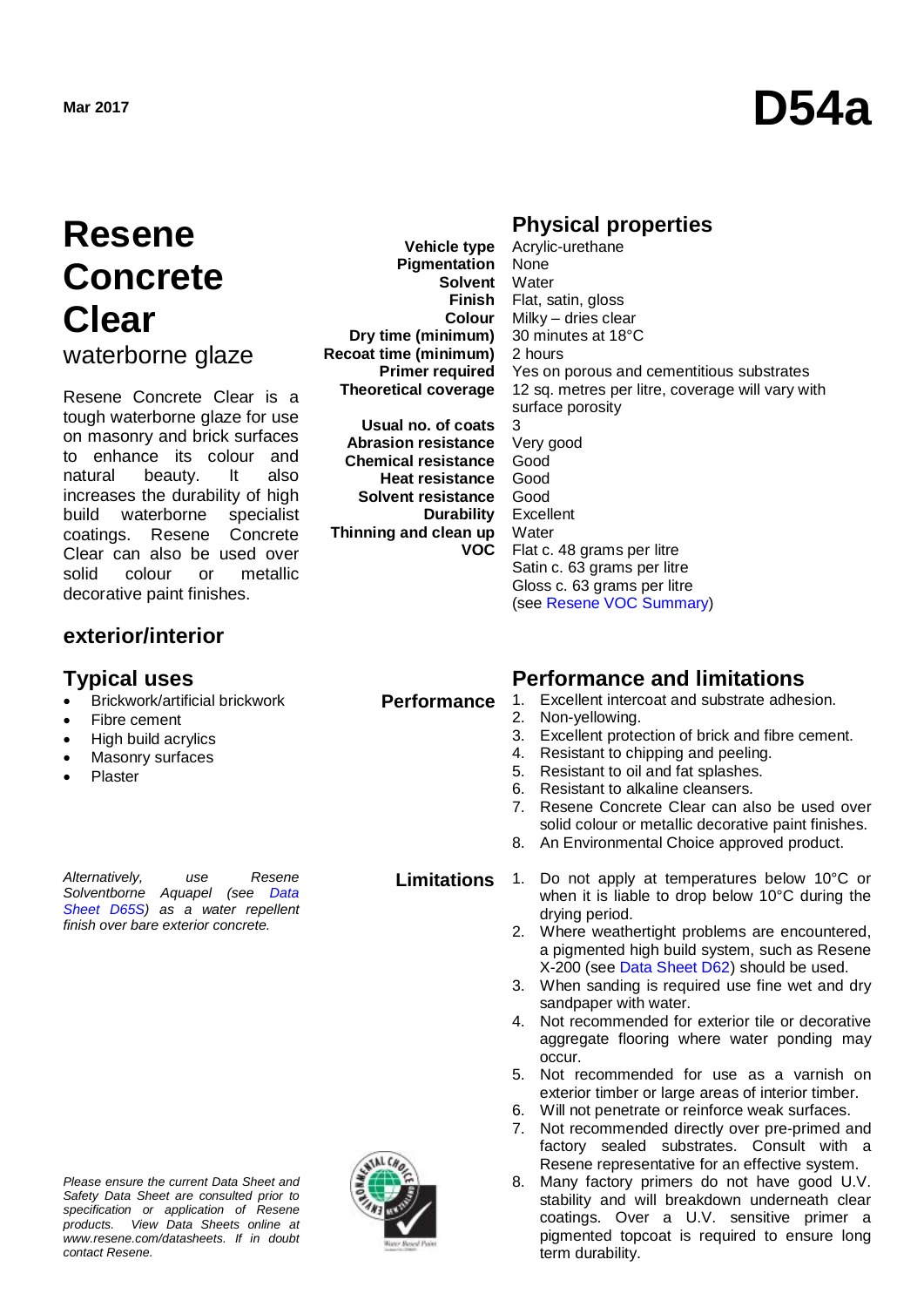# **Resene Concrete Clear**

waterborne glaze

Resene Concrete Clear is a tough waterborne glaze for use on masonry and brick surfaces to enhance its colour and natural beauty. It also increases the durability of high build waterborne specialist coatings. Resene Concrete Clear can also be used over solid colour or metallic decorative paint finishes.

## **exterior/interior**

- Brickwork/artificial brickwork
- Fibre cement
- High build acrylics
- Masonry surfaces
- Plaster

*Alternatively, use Resene Solventborne Aquapel (see [Data](http://www.resene.co.nz/archspec/datasheets/d65S_Aquapel_Solventborne.pdf)  [Sheet D65S\)](http://www.resene.co.nz/archspec/datasheets/d65S_Aquapel_Solventborne.pdf) as a water repellent finish over bare exterior concrete.*

*Please ensure the current Data Sheet and Safety Data Sheet are consulted prior to specification or application of Resene products. View Data Sheets online at [www.resene.com/datasheets.](http://www.resene.com/datasheets) If in doubt contact Resene.*



### **Physical properties**

**Solvent Finish** Flat, satin, gloss **Solvent resistance** Acrylic-urethane None **Water** Milky – dries clear 30 minutes at 18°C 2 hours Yes on porous and cementitious substrates 12 sq. metres per litre, coverage will vary with surface porosity 3 Very good Good Good Good Excellent **Water** Flat c. 48 grams per litre Satin c. 63 grams per litre Gloss c. 63 grams per litre (see [Resene VOC Summary\)](http://www.resene.co.nz/archspec/datashts/vocsummary.pdf)

**Vehicle type Pigmentation**

**Dry time (minimum) Recoat time (minimum)**

**Primer required Theoretical coverage**

**Usual no. of coats Abrasion resistance Chemical resistance Heat resistance**

**Thinning and clean up**

**Colour**

**Durability**

**VOC**

### **Typical uses Performance and limitations**

- **Performance** 1. Excellent intercoat and substrate adhesion.<br>2. Non-vellowing.
	- Non-yellowing.
	- 3. Excellent protection of brick and fibre cement.
	- 4. Resistant to chipping and peeling.
	- 5. Resistant to oil and fat splashes.
	- 6. Resistant to alkaline cleansers.
	- 7. Resene Concrete Clear can also be used over solid colour or metallic decorative paint finishes.
	- 8. An Environmental Choice approved product.
	- **Limitations** 1. Do not apply at temperatures below 10°C or when it is liable to drop below 10°C during the drying period.
		- 2. Where weathertight problems are encountered, a pigmented high build system, such as Resene X-200 (see [Data Sheet D62\)](http://www.resene.co.nz/archspec/datashts/d62_X-200_Waterproofing.pdf) should be used.
		- 3. When sanding is required use fine wet and dry sandpaper with water.
		- 4. Not recommended for exterior tile or decorative aggregate flooring where water ponding may occur.
		- 5. Not recommended for use as a varnish on exterior timber or large areas of interior timber. 6. Will not penetrate or reinforce weak surfaces.
		- 7. Not recommended directly over pre-primed and factory sealed substrates. Consult with a Resene representative for an effective system.
		- 8. Many factory primers do not have good U.V. stability and will breakdown underneath clear coatings. Over a U.V. sensitive primer a pigmented topcoat is required to ensure long term durability.